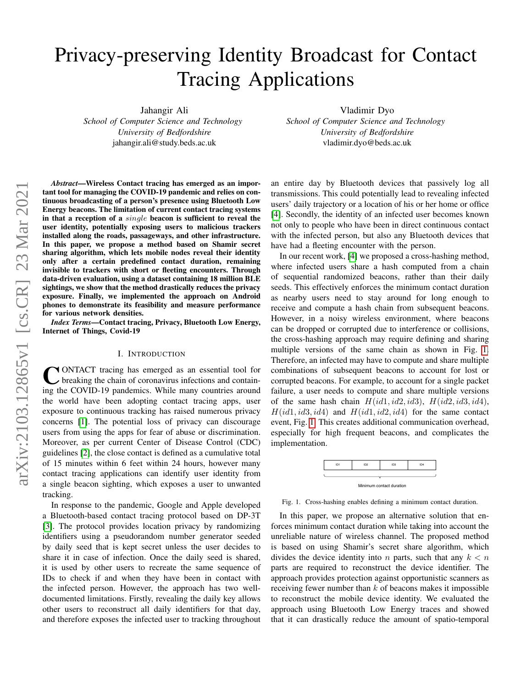# Privacy-preserving Identity Broadcast for Contact Tracing Applications

Jahangir Ali

*School of Computer Science and Technology University of Bedfordshire* jahangir.ali@study.beds.ac.uk

Vladimir Dyo *School of Computer Science and Technology University of Bedfordshire* vladimir.dyo@beds.ac.uk

*Abstract*—Wireless Contact tracing has emerged as an important tool for managing the COVID-19 pandemic and relies on continuous broadcasting of a person's presence using Bluetooth Low Energy beacons. The limitation of current contact tracing systems in that a reception of a single beacon is sufficient to reveal the user identity, potentially exposing users to malicious trackers installed along the roads, passageways, and other infrastructure. In this paper, we propose a method based on Shamir secret sharing algorithm, which lets mobile nodes reveal their identity only after a certain predefined contact duration, remaining invisible to trackers with short or fleeting encounters. Through data-driven evaluation, using a dataset containing 18 million BLE sightings, we show that the method drastically reduces the privacy exposure. Finally, we implemented the approach on Android phones to demonstrate its feasibility and measure performance for various network densities.

*Index Terms*—Contact tracing, Privacy, Bluetooth Low Energy, Internet of Things, Covid-19

## I. INTRODUCTION

CONTACT tracing has emerged as an essential tool for breaking the chain of coronavirus infections and containing the COVID-19 pandemics. While many countries around ONTACT tracing has emerged as an essential tool for breaking the chain of coronavirus infections and containthe world have been adopting contact tracing apps, user exposure to continuous tracking has raised numerous privacy concerns [\[1\]](#page-5-0). The potential loss of privacy can discourage users from using the apps for fear of abuse or discrimination. Moreover, as per current Center of Disease Control (CDC) guidelines [\[2\]](#page-5-1), the close contact is defined as a cumulative total of 15 minutes within 6 feet within 24 hours, however many contact tracing applications can identify user identity from a single beacon sighting, which exposes a user to unwanted tracking.

In response to the pandemic, Google and Apple developed a Bluetooth-based contact tracing protocol based on DP-3T [\[3\]](#page-5-2). The protocol provides location privacy by randomizing identifiers using a pseudorandom number generator seeded by daily seed that is kept secret unless the user decides to share it in case of infection. Once the daily seed is shared, it is used by other users to recreate the same sequence of IDs to check if and when they have been in contact with the infected person. However, the approach has two welldocumented limitations. Firstly, revealing the daily key allows other users to reconstruct all daily identifiers for that day, and therefore exposes the infected user to tracking throughout an entire day by Bluetooth devices that passively log all transmissions. This could potentially lead to revealing infected users' daily trajectory or a location of his or her home or office [\[4\]](#page-5-3). Secondly, the identity of an infected user becomes known not only to people who have been in direct continuous contact with the infected person, but also any Bluetooth devices that have had a fleeting encounter with the person.

In our recent work, [\[4\]](#page-5-3) we proposed a cross-hashing method, where infected users share a hash computed from a chain of sequential randomized beacons, rather than their daily seeds. This effectively enforces the minimum contact duration as nearby users need to stay around for long enough to receive and compute a hash chain from subsequent beacons. However, in a noisy wireless environment, where beacons can be dropped or corrupted due to interference or collisions, the cross-hashing approach may require defining and sharing multiple versions of the same chain as shown in Fig. [1.](#page-0-0) Therefore, an infected may have to compute and share multiple combinations of subsequent beacons to account for lost or corrupted beacons. For example, to account for a single packet failure, a user needs to compute and share multiple versions of the same hash chain  $H(id1, id2, id3), H(id2, id3, id4),$  $H(id1, id3, id4)$  and  $H(id1, id2, id4)$  for the same contact event, Fig. [1.](#page-0-0) This creates additional communication overhead, especially for high frequent beacons, and complicates the implementation.



<span id="page-0-0"></span>Fig. 1. Cross-hashing enables defining a minimum contact duration.

In this paper, we propose an alternative solution that enforces minimum contact duration while taking into account the unreliable nature of wireless channel. The proposed method is based on using Shamir's secret share algorithm, which divides the device identity into n parts, such that any  $k < n$ parts are required to reconstruct the device identifier. The approach provides protection against opportunistic scanners as receiving fewer number than  $k$  of beacons makes it impossible to reconstruct the mobile device identity. We evaluated the approach using Bluetooth Low Energy traces and showed that it can drastically reduce the amount of spatio-temporal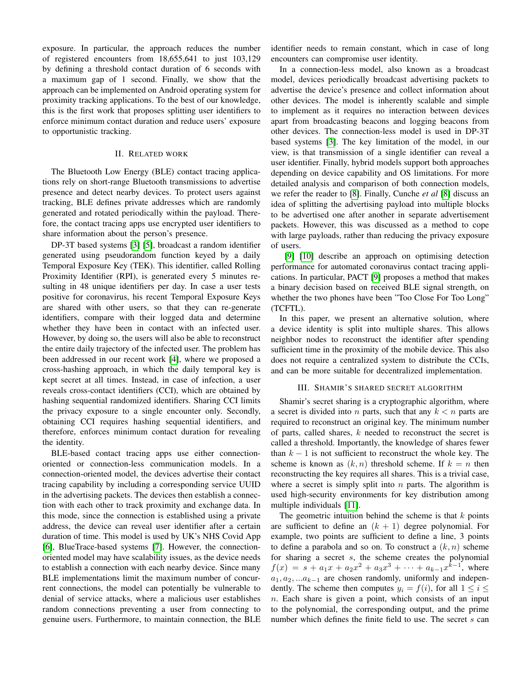exposure. In particular, the approach reduces the number of registered encounters from 18,655,641 to just 103,129 by defining a threshold contact duration of 6 seconds with a maximum gap of 1 second. Finally, we show that the approach can be implemented on Android operating system for proximity tracking applications. To the best of our knowledge, this is the first work that proposes splitting user identifiers to enforce minimum contact duration and reduce users' exposure to opportunistic tracking.

## II. RELATED WORK

The Bluetooth Low Energy (BLE) contact tracing applications rely on short-range Bluetooth transmissions to advertise presence and detect nearby devices. To protect users against tracking, BLE defines private addresses which are randomly generated and rotated periodically within the payload. Therefore, the contact tracing apps use encrypted user identifiers to share information about the person's presence.

DP-3T based systems [\[3\]](#page-5-2) [\[5\]](#page-5-4), broadcast a random identifier generated using pseudorandom function keyed by a daily Temporal Exposure Key (TEK). This identifier, called Rolling Proximity Identifier (RPI), is generated every 5 minutes resulting in 48 unique identifiers per day. In case a user tests positive for coronavirus, his recent Temporal Exposure Keys are shared with other users, so that they can re-generate identifiers, compare with their logged data and determine whether they have been in contact with an infected user. However, by doing so, the users will also be able to reconstruct the entire daily trajectory of the infected user. The problem has been addressed in our recent work [\[4\]](#page-5-3), where we proposed a cross-hashing approach, in which the daily temporal key is kept secret at all times. Instead, in case of infection, a user reveals cross-contact identifiers (CCI), which are obtained by hashing sequential randomized identifiers. Sharing CCI limits the privacy exposure to a single encounter only. Secondly, obtaining CCI requires hashing sequential identifiers, and therefore, enforces minimum contact duration for revealing the identity.

BLE-based contact tracing apps use either connectionoriented or connection-less communication models. In a connection-oriented model, the devices advertise their contact tracing capability by including a corresponding service UUID in the advertising packets. The devices then establish a connection with each other to track proximity and exchange data. In this mode, since the connection is established using a private address, the device can reveal user identifier after a certain duration of time. This model is used by UK's NHS Covid App [\[6\]](#page-5-5), BlueTrace-based systems [\[7\]](#page-5-6). However, the connectionoriented model may have scalability issues, as the device needs to establish a connection with each nearby device. Since many BLE implementations limit the maximum number of concurrent connections, the model can potentially be vulnerable to denial of service attacks, where a malicious user establishes random connections preventing a user from connecting to genuine users. Furthermore, to maintain connection, the BLE identifier needs to remain constant, which in case of long encounters can compromise user identity.

In a connection-less model, also known as a broadcast model, devices periodically broadcast advertising packets to advertise the device's presence and collect information about other devices. The model is inherently scalable and simple to implement as it requires no interaction between devices apart from broadcasting beacons and logging beacons from other devices. The connection-less model is used in DP-3T based systems [\[3\]](#page-5-2). The key limitation of the model, in our view, is that transmission of a single identifier can reveal a user identifier. Finally, hybrid models support both approaches depending on device capability and OS limitations. For more detailed analysis and comparison of both connection models, we refer the reader to [\[8\]](#page-5-7). Finally, Cunche *et al* [\[8\]](#page-5-7) discuss an idea of splitting the advertising payload into multiple blocks to be advertised one after another in separate advertisement packets. However, this was discussed as a method to cope with large payloads, rather than reducing the privacy exposure of users.

[\[9\]](#page-5-8) [\[10\]](#page-5-9) describe an approach on optimising detection performance for automated coronavirus contact tracing applications. In particular, PACT [\[9\]](#page-5-8) proposes a method that makes a binary decision based on received BLE signal strength, on whether the two phones have been "Too Close For Too Long" (TCFTL).

In this paper, we present an alternative solution, where a device identity is split into multiple shares. This allows neighbor nodes to reconstruct the identifier after spending sufficient time in the proximity of the mobile device. This also does not require a centralized system to distribute the CCIs, and can be more suitable for decentralized implementation.

## III. SHAMIR'S SHARED SECRET ALGORITHM

Shamir's secret sharing is a cryptographic algorithm, where a secret is divided into *n* parts, such that any  $k < n$  parts are required to reconstruct an original key. The minimum number of parts, called shares,  $k$  needed to reconstruct the secret is called a threshold. Importantly, the knowledge of shares fewer than  $k - 1$  is not sufficient to reconstruct the whole key. The scheme is known as  $(k, n)$  threshold scheme. If  $k = n$  then reconstructing the key requires all shares. This is a trivial case, where a secret is simply split into  $n$  parts. The algorithm is used high-security environments for key distribution among multiple individuals [\[11\]](#page-5-10).

The geometric intuition behind the scheme is that  $k$  points are sufficient to define an  $(k + 1)$  degree polynomial. For example, two points are sufficient to define a line, 3 points to define a parabola and so on. To construct a  $(k, n)$  scheme for sharing a secret s, the scheme creates the polynomial  $f(x) = s + a_1x + a_2x^2 + a_3x^3 + \cdots + a_{k-1}x^{k-1}$ , where  $a_1, a_2, \ldots a_{k-1}$  are chosen randomly, uniformly and independently. The scheme then computes  $y_i = f(i)$ , for all  $1 \leq i \leq$  $n$ . Each share is given a point, which consists of an input to the polynomial, the corresponding output, and the prime number which defines the finite field to use. The secret  $s$  can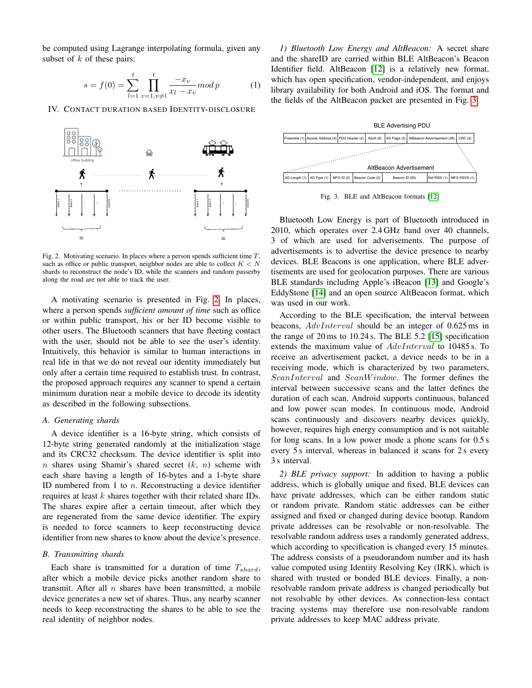be computed using Lagrange interpolating formula, given any subset of  $k$  of these pairs:

$$
s = f(0) = \sum_{l=1}^{t} \prod_{v=1, v \neq l}^{t} \frac{-x_v}{x_l - x_v} mod p \qquad (1)
$$

IV. CONTACT DURATION BASED IDENTITY-DISCLOSURE



<span id="page-2-0"></span>Fig. 2. Motivating scenario. In places where a person spends sufficient time  $T$ , such as office or public transport, neighbor nodes are able to collect  $K < N$ shards to reconstruct the node's ID, while the scanners and random passerby along the road are not able to track the user.

A motivating scenario is presented in Fig. [2.](#page-2-0) In places, where a person spends *sufficient amount of time* such as office or within public transport, his or her ID become visible to other users. The Bluetooth scanners that have fleeting contact with the user, should not be able to see the user's identity. Intuitively, this behavior is similar to human interactions in real life in that we do not reveal our identity immediately but only after a certain time required to establish trust. In contrast, the proposed approach requires any scanner to spend a certain minimum duration near a mobile device to decode its identity as described in the following subsections.

#### *A. Generating shards*

A device identifier is a 16-byte string, which consists of 12-byte string generated randomly at the initialization stage and its CRC32 checksum. The device identifier is split into n shares using Shamir's shared secret  $(k, n)$  scheme with each share having a length of 16-bytes and a 1-byte share ID numbered from 1 to  $n$ . Reconstructing a device identifier requires at least  $k$  shares together with their related share IDs. The shares expire after a certain timeout, after which they are regenerated from the same device identifier. The expiry is needed to force scanners to keep reconstructing device identifier from new shares to know about the device's presence.

#### *B. Transmitting shards*

Each share is transmitted for a duration of time  $T_{shard}$ , after which a mobile device picks another random share to transmit. After all  $n$  shares have been transmitted, a mobile device generates a new set of shares. Thus, any nearby scanner needs to keep reconstructing the shares to be able to see the real identity of neighbor nodes.

*1) Bluetooth Low Energy and AltBeacon:* A secret share and the shareID are carried within BLE AltBeacon's Beacon Identifier field. AltBeacon [\[12\]](#page-5-11) is a relatively new format, which has open specification, vendor-independent, and enjoys library availability for both Android and iOS. The format and the fields of the AltBeacon packet are presented in Fig. [3.](#page-2-1)



<span id="page-2-1"></span>Fig. 3. BLE and AltBeacon formats [\[12\]](#page-5-11)

Bluetooth Low Energy is part of Bluetooth introduced in 2010, which operates over 2.4 GHz band over 40 channels, 3 of which are used for adverisements. The purpose of advertisements is to advertise the device presence to nearby devices. BLE Beacons is one application, where BLE advertisements are used for geolocation purposes. There are various BLE standards including Apple's iBeacon [\[13\]](#page-5-12) and Google's EddyStone [\[14\]](#page-5-13) and an open source AltBeacon format, which was used in our work.

According to the BLE specification, the interval between beacons, AdvInterval should be an integer of 0.625 ms in the range of 20 ms to 10.24 s. The BLE 5.2 [\[15\]](#page-5-14) specification extends the maximum value of AdvInterval to 10485 s. To receive an advertisement packet, a device needs to be in a receiving mode, which is characterized by two parameters, ScanInterval and ScanWindow. The former defines the interval between successive scans and the latter defines the duration of each scan. Android supports continuous, balanced and low power scan modes. In continuous mode, Android scans continuously and discovers nearby devices quickly, however, requires high energy consumption and is not suitable for long scans. In a low power mode a phone scans for 0.5 s every 5 s interval, whereas in balanced it scans for 2 s every 3 s interval.

*2) BLE privacy support:* In addition to having a public address, which is globally unique and fixed, BLE devices can have private addresses, which can be either random static or random private. Random static addresses can be either assigned and fixed or changed during device bootup. Random private addresses can be resolvable or non-resolvable. The resolvable random address uses a randomly generated address, which according to specification is changed every 15 minutes. The address consists of a pseudorandom number and its hash value computed using Identity Resolving Key (IRK), which is shared with trusted or bonded BLE devices. Finally, a nonresolvable random private address is changed periodically but not resolvable by other devices. As connection-less contact tracing systems may therefore use non-resolvable random private addresses to keep MAC address private.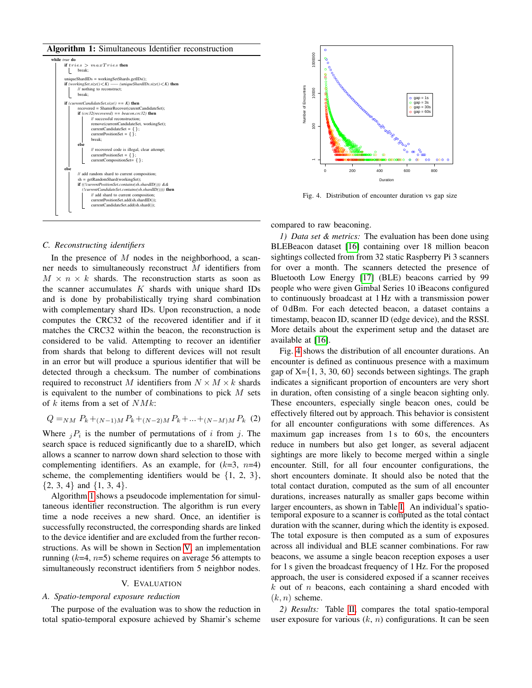Algorithm 1: Simultaneous Identifier reconstruction



## <span id="page-3-0"></span>*C. Reconstructing identifiers*

In the presence of  $M$  nodes in the neighborhood, a scanner needs to simultaneously reconstruct M identifiers from  $M \times n \times k$  shards. The reconstruction starts as soon as the scanner accumulates  $K$  shards with unique shard IDs and is done by probabilistically trying shard combination with complementary shard IDs. Upon reconstruction, a node computes the CRC32 of the recovered identifier and if it matches the CRC32 within the beacon, the reconstruction is considered to be valid. Attempting to recover an identifier from shards that belong to different devices will not result in an error but will produce a spurious identifier that will be detected through a checksum. The number of combinations required to reconstruct M identifiers from  $N \times M \times k$  shards is equivalent to the number of combinations to pick  $M$  sets of k items from a set of  $N M k$ :

$$
Q =_{NM} P_k +_{(N-1)M} P_k +_{(N-2)M} P_k + \dots +_{(N-M)M} P_k
$$
 (2)

Where  $jP_i$  is the number of permutations of i from j. The search space is reduced significantly due to a shareID, which allows a scanner to narrow down shard selection to those with complementing identifiers. As an example, for  $(k=3, n=4)$ scheme, the complementing identifiers would be  $\{1, 2, 3\}$ ,  $\{2, 3, 4\}$  and  $\{1, 3, 4\}$ .

Algorithm [1](#page-3-0) shows a pseudocode implementation for simultaneous identifier reconstruction. The algorithm is run every time a node receives a new shard. Once, an identifier is successfully reconstructed, the corresponding shards are linked to the device identifier and are excluded from the further reconstructions. As will be shown in Section [V,](#page-3-1) an implementation running  $(k=4, n=5)$  scheme requires on average 56 attempts to simultaneously reconstruct identifiers from 5 neighbor nodes.

#### V. EVALUATION

# <span id="page-3-1"></span>*A. Spatio-temporal exposure reduction*

The purpose of the evaluation was to show the reduction in total spatio-temporal exposure achieved by Shamir's scheme



<span id="page-3-2"></span>Fig. 4. Distribution of encounter duration vs gap size

compared to raw beaconing.

*1) Data set & metrics:* The evaluation has been done using BLEBeacon dataset [\[16\]](#page-5-15) containing over 18 million beacon sightings collected from from 32 static Raspberry Pi 3 scanners for over a month. The scanners detected the presence of Bluetooth Low Energy [\[17\]](#page-5-16) (BLE) beacons carried by 99 people who were given Gimbal Series 10 iBeacons configured to continuously broadcast at 1 Hz with a transmission power of 0 dBm. For each detected beacon, a dataset contains a timestamp, beacon ID, scanner ID (edge device), and the RSSI. More details about the experiment setup and the dataset are available at [\[16\]](#page-5-15).

Fig. [4](#page-3-2) shows the distribution of all encounter durations. An encounter is defined as continuous presence with a maximum gap of  $X = \{1, 3, 30, 60\}$  seconds between sightings. The graph indicates a significant proportion of encounters are very short in duration, often consisting of a single beacon sighting only. These encounters, especially single beacon ones, could be effectively filtered out by approach. This behavior is consistent for all encounter configurations with some differences. As maximum gap increases from 1s to 60s, the encounters reduce in numbers but also get longer, as several adjacent sightings are more likely to become merged within a single encounter. Still, for all four encounter configurations, the short encounters dominate. It should also be noted that the total contact duration, computed as the sum of all encounter durations, increases naturally as smaller gaps become within larger encounters, as shown in Table [I.](#page-4-0) An individual's spatiotemporal exposure to a scanner is computed as the total contact duration with the scanner, during which the identity is exposed. The total exposure is then computed as a sum of exposures across all individual and BLE scanner combinations. For raw beacons, we assume a single beacon reception exposes a user for 1 s given the broadcast frequency of 1 Hz. For the proposed approach, the user is considered exposed if a scanner receives  $k$  out of  $n$  beacons, each containing a shard encoded with  $(k, n)$  scheme.

*2) Results:* Table [II,](#page-4-1) compares the total spatio-temporal user exposure for various  $(k, n)$  configurations. It can be seen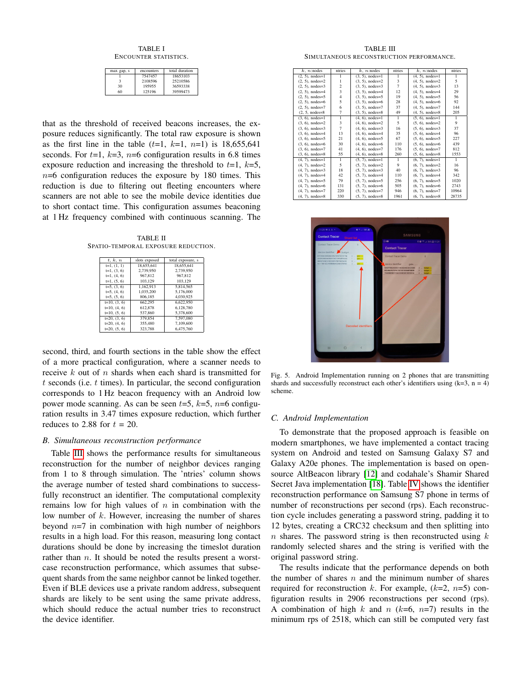TABLE I ENCOUNTER STATISTICS.

<span id="page-4-0"></span>

| max gap, s | encounters | total duration |  |
|------------|------------|----------------|--|
|            | 7547457    | 18653103       |  |
| ٩          | 2108596    | 25210586       |  |
| 30         | 195955     | 36593338       |  |
| 60         | 125196     | 39599473       |  |

that as the threshold of received beacons increases, the exposure reduces significantly. The total raw exposure is shown as the first line in the table  $(t=1, k=1, n=1)$  is 18,655,641 seconds. For  $t=1$ ,  $k=3$ ,  $n=6$  configuration results in 6.8 times exposure reduction and increasing the threshold to  $t=1$ ,  $k=5$ ,  $n=6$  configuration reduces the exposure by 180 times. This reduction is due to filtering out fleeting encounters where scanners are not able to see the mobile device identities due to short contact time. This configuration assumes beaconing at 1 Hz frequency combined with continuous scanning. The

<span id="page-4-1"></span>TABLE II SPATIO-TEMPORAL EXPOSURE REDUCTION.

| t, k, n        | slots exposed | total exposure, s |
|----------------|---------------|-------------------|
| $t=1, (1, 1)$  | 18,655,641    | 18,655,641        |
| $t=1, (3, 6)$  | 2.739.950     | 2.739.950         |
| $t=1, (4, 6)$  | 967.812       | 967.812           |
| $t=1, (5, 6)$  | 103.129       | 103.129           |
| $t=5, (3, 6)$  | 1.162.913     | 5.814.565         |
| $t=5, (4, 6)$  | 1,035,200     | 5.176.000         |
| $t=5, (5, 6)$  | 806.185       | 4.030.925         |
| $t=10, (3, 6)$ | 662.295       | 6.622.950         |
| $t=10, (4, 6)$ | 612.878       | 6.128.780         |
| $t=10, (5, 6)$ | 537,860       | 5.378,600         |
| $t=20, (3, 6)$ | 379,854       | 7.597.080         |
| $t=20, (4, 6)$ | 355,480       | 7.109.600         |
| $t=20, (5, 6)$ | 323,788       | 6,475,760         |

second, third, and fourth sections in the table show the effect of a more practical configuration, where a scanner needs to receive  $k$  out of  $n$  shards when each shard is transmitted for  $t$  seconds (i.e.  $t$  times). In particular, the second configuration corresponds to 1 Hz beacon frequency with an Android low power mode scanning. As can be seen  $t=5$ ,  $k=5$ ,  $n=6$  configuration results in 3.47 times exposure reduction, which further reduces to 2.88 for  $t = 20$ .

## *B. Simultaneous reconstruction performance*

Table [III](#page-4-2) shows the performance results for simultaneous reconstruction for the number of neighbor devices ranging from 1 to 8 through simulation. The 'ntries' column shows the average number of tested shard combinations to successfully reconstruct an identifier. The computational complexity remains low for high values of  $n$  in combination with the low number of  $k$ . However, increasing the number of shares beyond  $n=7$  in combination with high number of neighbors results in a high load. For this reason, measuring long contact durations should be done by increasing the timeslot duration rather than  $n$ . It should be noted the results present a worstcase reconstruction performance, which assumes that subsequent shards from the same neighbor cannot be linked together. Even if BLE devices use a private random address, subsequent shards are likely to be sent using the same private address, which should reduce the actual number tries to reconstruct the device identifier.

TABLE III SIMULTANEOUS RECONSTRUCTION PERFORMANCE.

<span id="page-4-2"></span>

| $k$ , $n$ : nodes     | ntries                  | $k$ , $n$ : nodes<br>ntries<br>$k$ , $n$ : nodes |                |                    | ntries |
|-----------------------|-------------------------|--------------------------------------------------|----------------|--------------------|--------|
| $(2, 5)$ , nodes=1    | 1                       | $(4, 5)$ , nodes=1<br>$(3, 5)$ , nodes=1<br>1    |                | 1                  |        |
| $(2, 5)$ , nodes= $2$ |                         | 3<br>$(3, 5)$ , nodes=2                          |                | $(4, 5)$ , nodes=2 | 5      |
| $(2, 5)$ , nodes=3    | $\overline{\mathbf{c}}$ | $(3, 5)$ , nodes= $3$                            | $\overline{7}$ | $(4, 5)$ , nodes=3 | 13     |
| $(2, 5)$ , nodes=4    | $\overline{\mathbf{3}}$ | $(3, 5)$ , nodes=4                               | 12             | $(4, 5)$ , nodes=4 | 29     |
| $(2, 5)$ , nodes=5    | $\overline{4}$          | $(3, 5)$ , nodes=5                               | 19             | $(4, 5)$ , nodes=5 | 56     |
| $(2, 5)$ , nodes=6    | 5                       | $(3, 5)$ , nodes=6                               | 28             | $(4, 5)$ , nodes=6 | 92     |
| $(2, 5)$ , nodes=7    | 6                       | $(3, 5)$ , nodes=7                               | 37             | $(4, 5)$ , nodes=7 | 144    |
| $(2, 5, nodes=8)$     | 7                       | $(3, 5)$ , nodes=8                               | 49             | $(4, 5)$ , nodes=8 | 205    |
| $(3, 6)$ , nodes=1    | $\mathbf{1}$            | $(4, 6)$ , nodes=1                               | $\mathbf{1}$   | $(5, 6)$ , nodes=1 | 1      |
| $(3, 6)$ , nodes=2    | 3                       | $(4, 6)$ , nodes=2                               | 5              | $(5, 6)$ , nodes=2 | 9      |
| $(3, 6)$ , nodes= $3$ | $\overline{7}$          | $(4, 6)$ , nodes=3                               | 16             | $(5, 6)$ , nodes=3 | 37     |
| $(3, 6)$ , nodes=4    | 13                      | $(4, 6)$ , nodes=4                               | 35             | $(5, 6)$ , nodes=4 | 96     |
| $(3, 6)$ , nodes=5    | 21                      | $(4, 6)$ , nodes=5                               | 67             | $(5, 6)$ , nodes=5 | 227    |
| $(3, 6)$ , nodes=6    | 30                      | $(4, 6)$ , nodes=6                               | 110            | $(5, 6)$ , nodes=6 | 439    |
| $(3, 6)$ , nodes=7    | 41                      | $(4, 6)$ , nodes=7                               | 176            | $(5, 6)$ , nodes=7 | 812    |
| $(3, 6)$ , nodes=8    | 55                      | $(4, 6)$ , nodes=8                               | 260            | $(5, 6)$ , nodes=8 | 1553   |
| $(4, 7)$ , nodes=1    | $\mathbf{1}$            | $(5, 7)$ , nodes=1                               | $\mathbf{1}$   | $(6, 7)$ , nodes=1 | 1      |
| $(4, 7)$ , nodes=2    | 5                       | $(5, 7)$ , nodes=2                               | 9              | $(6, 7)$ , nodes=2 | 16     |
| $(4, 7)$ , nodes=3    | 18                      | $(5, 7)$ , nodes=3                               | 40             | $(6, 7)$ , nodes=3 | 96     |
| $(4, 7)$ , nodes=4    | 42                      | $(5, 7)$ , nodes=4                               | 110            | $(6, 7)$ , nodes=4 | 342    |
| $(4, 7)$ , nodes=5    | 79                      | $(5, 7)$ , nodes= $5$                            | 256            | $(6, 7)$ , nodes=5 | 1020   |
| $(4, 7)$ , nodes=6    | 131                     | $(5, 7)$ , nodes=6                               | 505            | $(6, 7)$ , nodes=6 | 2743   |
| $(4, 7)$ , nodes=7    | 220                     | $(5, 7)$ , nodes=7                               | 946            | $(6, 7)$ , nodes=7 | 10964  |
| $(4, 7)$ , nodes=8    | 330                     | $(5, 7)$ , nodes=8                               | 1961           | $(6, 7)$ , nodes=8 | 28735  |



Fig. 5. Android Implementation running on 2 phones that are transmitting shards and successfully reconstruct each other's identifiers using  $(k=3, n = 4)$ scheme.

#### *C. Android Implementation*

To demonstrate that the proposed approach is feasible on modern smartphones, we have implemented a contact tracing system on Android and tested on Samsung Galaxy S7 and Galaxy A20e phones. The implementation is based on opensource AltBeacon library [\[12\]](#page-5-11) and codahale's Shamir Shared Secret Java implementation [\[18\]](#page-5-17). Table [IV](#page-5-18) shows the identifier reconstruction performance on Samsung S7 phone in terms of number of reconstructions per second (rps). Each reconstruction cycle includes generating a password string, padding it to 12 bytes, creating a CRC32 checksum and then splitting into n shares. The password string is then reconstructed using  $k$ randomly selected shares and the string is verified with the original password string.

The results indicate that the performance depends on both the number of shares  $n$  and the minimum number of shares required for reconstruction k. For example,  $(k=2, n=5)$  configuration results in 2906 reconstructions per second (rps). A combination of high k and n  $(k=6, n=7)$  results in the minimum rps of 2518, which can still be computed very fast